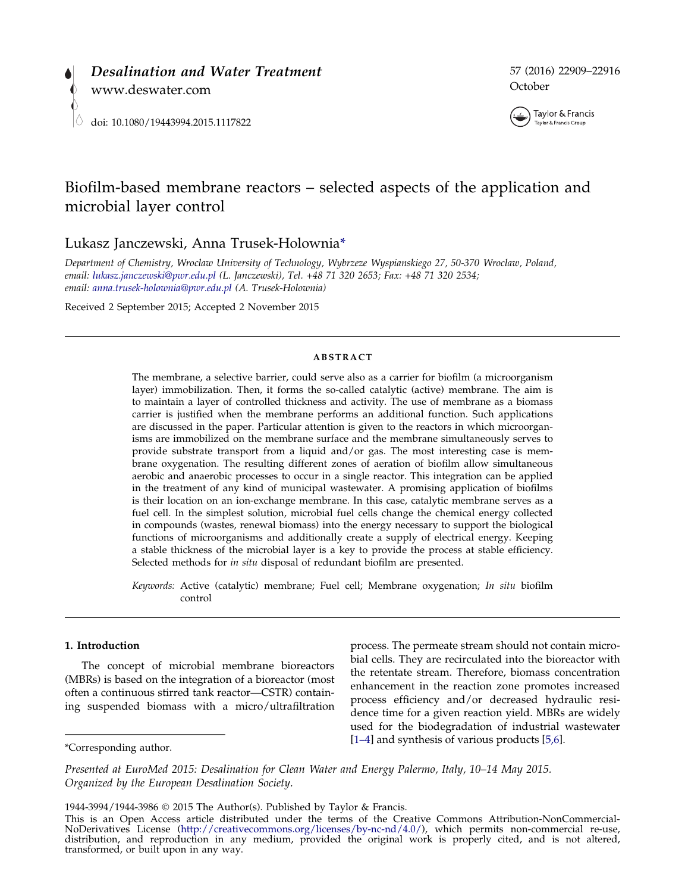



# Biofilm-based membrane reactors – selected aspects of the application and microbial layer control

Lukasz Janczewski, Anna Trusek-Holownia\*

Department of Chemistry, Wroclaw University of Technology, Wybrzeze Wyspianskiego 27, 50-370 Wroclaw, Poland, email: [lukasz.janczewski@pwr.edu.pl](mailto:lukasz.janczewski@pwr.edu.pl) (L. Janczewski), Tel. +48 71 320 2653; Fax: +48 71 320 2534; email: [anna.trusek-holownia@pwr.edu.pl](mailto:anna.trusek-holownia@pwr.edu.pl) (A. Trusek-Holownia)

Received 2 September 2015; Accepted 2 November 2015

## ABSTRACT

The membrane, a selective barrier, could serve also as a carrier for biofilm (a microorganism layer) immobilization. Then, it forms the so-called catalytic (active) membrane. The aim is to maintain a layer of controlled thickness and activity. The use of membrane as a biomass carrier is justified when the membrane performs an additional function. Such applications are discussed in the paper. Particular attention is given to the reactors in which microorganisms are immobilized on the membrane surface and the membrane simultaneously serves to provide substrate transport from a liquid and/or gas. The most interesting case is membrane oxygenation. The resulting different zones of aeration of biofilm allow simultaneous aerobic and anaerobic processes to occur in a single reactor. This integration can be applied in the treatment of any kind of municipal wastewater. A promising application of biofilms is their location on an ion-exchange membrane. In this case, catalytic membrane serves as a fuel cell. In the simplest solution, microbial fuel cells change the chemical energy collected in compounds (wastes, renewal biomass) into the energy necessary to support the biological functions of microorganisms and additionally create a supply of electrical energy. Keeping a stable thickness of the microbial layer is a key to provide the process at stable efficiency. Selected methods for in situ disposal of redundant biofilm are presented.

Keywords: Active (catalytic) membrane; Fuel cell; Membrane oxygenation; In situ biofilm control

## 1. Introduction

The concept of microbial membrane bioreactors (MBRs) is based on the integration of a bioreactor (most often a continuous stirred tank reactor—CSTR) containing suspended biomass with a micro/ultrafiltration

process. The permeate stream should not contain microbial cells. They are recirculated into the bioreactor with the retentate stream. Therefore, biomass concentration enhancement in the reaction zone promotes increased process efficiency and/or decreased hydraulic residence time for a given reaction yield. MBRs are widely used for the biodegradation of industrial wastewater For Extending author. The state of various products [[5,6\]](#page-6-0).

Presented at EuroMed 2015: Desalination for Clean Water and Energy Palermo, Italy, 10–14 May 2015. Organized by the European Desalination Society.

<sup>1944-3994/1944-3986</sup> 2015 The Author(s). Published by Taylor & Francis.

This is an Open Access article distributed under the terms of the Creative Commons Attribution-NonCommercial-NoDerivatives License (http://creativecommons.org/licenses/by-nc-nd/4.0/), which permits non-commercial re-use, NoDerivatives License (<http://creativecommons.org/licenses/by-nc-nd/4.0/>), which permits non-commercial re-use, distribution, and reproduction in any medium, provided the original work is properly cited, and is not altered, transformed, or built upon in any way.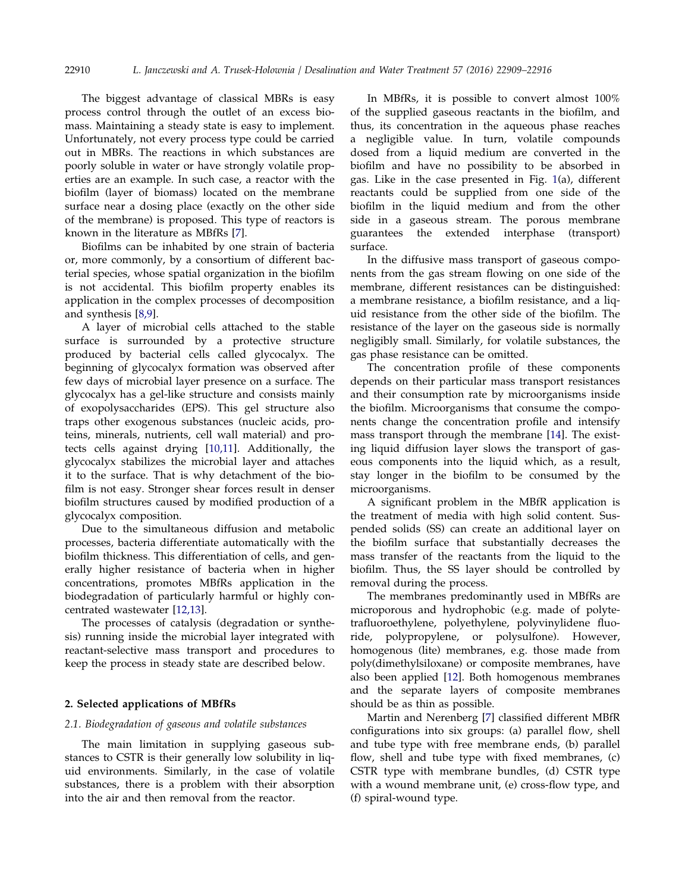The biggest advantage of classical MBRs is easy process control through the outlet of an excess biomass. Maintaining a steady state is easy to implement. Unfortunately, not every process type could be carried out in MBRs. The reactions in which substances are poorly soluble in water or have strongly volatile properties are an example. In such case, a reactor with the biofilm (layer of biomass) located on the membrane surface near a dosing place (exactly on the other side of the membrane) is proposed. This type of reactors is known in the literature as MBfRs [[7](#page-6-0)].

Biofilms can be inhabited by one strain of bacteria or, more commonly, by a consortium of different bacterial species, whose spatial organization in the biofilm is not accidental. This biofilm property enables its application in the complex processes of decomposition and synthesis [\[8,9\]](#page-6-0).

A layer of microbial cells attached to the stable surface is surrounded by a protective structure produced by bacterial cells called glycocalyx. The beginning of glycocalyx formation was observed after few days of microbial layer presence on a surface. The glycocalyx has a gel-like structure and consists mainly of exopolysaccharides (EPS). This gel structure also traps other exogenous substances (nucleic acids, proteins, minerals, nutrients, cell wall material) and protects cells against drying [[10,11\]](#page-6-0). Additionally, the glycocalyx stabilizes the microbial layer and attaches it to the surface. That is why detachment of the biofilm is not easy. Stronger shear forces result in denser biofilm structures caused by modified production of a glycocalyx composition.

Due to the simultaneous diffusion and metabolic processes, bacteria differentiate automatically with the biofilm thickness. This differentiation of cells, and generally higher resistance of bacteria when in higher concentrations, promotes MBfRs application in the biodegradation of particularly harmful or highly concentrated wastewater [[12,13\]](#page-6-0).

The processes of catalysis (degradation or synthesis) running inside the microbial layer integrated with reactant-selective mass transport and procedures to keep the process in steady state are described below.

# 2. Selected applications of MBfRs

## 2.1. Biodegradation of gaseous and volatile substances

The main limitation in supplying gaseous substances to CSTR is their generally low solubility in liquid environments. Similarly, in the case of volatile substances, there is a problem with their absorption into the air and then removal from the reactor.

In MBfRs, it is possible to convert almost 100% of the supplied gaseous reactants in the biofilm, and thus, its concentration in the aqueous phase reaches a negligible value. In turn, volatile compounds dosed from a liquid medium are converted in the biofilm and have no possibility to be absorbed in gas. Like in the case presented in Fig. [1](#page-2-0)(a), different reactants could be supplied from one side of the biofilm in the liquid medium and from the other side in a gaseous stream. The porous membrane guarantees the extended interphase (transport) surface.

In the diffusive mass transport of gaseous components from the gas stream flowing on one side of the membrane, different resistances can be distinguished: a membrane resistance, a biofilm resistance, and a liquid resistance from the other side of the biofilm. The resistance of the layer on the gaseous side is normally negligibly small. Similarly, for volatile substances, the gas phase resistance can be omitted.

The concentration profile of these components depends on their particular mass transport resistances and their consumption rate by microorganisms inside the biofilm. Microorganisms that consume the components change the concentration profile and intensify mass transport through the membrane [[14](#page-6-0)]. The existing liquid diffusion layer slows the transport of gaseous components into the liquid which, as a result, stay longer in the biofilm to be consumed by the microorganisms.

A significant problem in the MBfR application is the treatment of media with high solid content. Suspended solids (SS) can create an additional layer on the biofilm surface that substantially decreases the mass transfer of the reactants from the liquid to the biofilm. Thus, the SS layer should be controlled by removal during the process.

The membranes predominantly used in MBfRs are microporous and hydrophobic (e.g. made of polytetrafluoroethylene, polyethylene, polyvinylidene fluoride, polypropylene, or polysulfone). However, homogenous (lite) membranes, e.g. those made from poly(dimethylsiloxane) or composite membranes, have also been applied [[12\]](#page-6-0). Both homogenous membranes and the separate layers of composite membranes should be as thin as possible.

Martin and Nerenberg [\[7\]](#page-6-0) classified different MBfR configurations into six groups: (a) parallel flow, shell and tube type with free membrane ends, (b) parallel flow, shell and tube type with fixed membranes, (c) CSTR type with membrane bundles, (d) CSTR type with a wound membrane unit, (e) cross-flow type, and (f) spiral-wound type.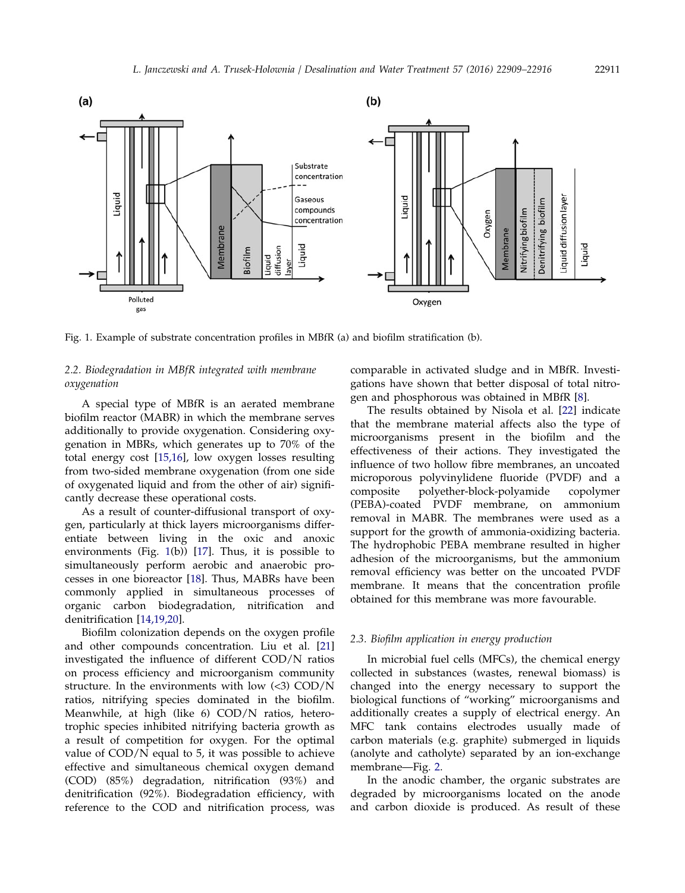<span id="page-2-0"></span>

Fig. 1. Example of substrate concentration profiles in MBfR (a) and biofilm stratification (b).

# 2.2. Biodegradation in MBfR integrated with membrane oxygenation

A special type of MBfR is an aerated membrane biofilm reactor (MABR) in which the membrane serves additionally to provide oxygenation. Considering oxygenation in MBRs, which generates up to 70% of the total energy cost [[15,16](#page-6-0)], low oxygen losses resulting from two-sided membrane oxygenation (from one side of oxygenated liquid and from the other of air) significantly decrease these operational costs.

As a result of counter-diffusional transport of oxygen, particularly at thick layers microorganisms differentiate between living in the oxic and anoxic environments (Fig. 1(b)) [\[17](#page-6-0)]. Thus, it is possible to simultaneously perform aerobic and anaerobic processes in one bioreactor [\[18\]](#page-6-0). Thus, MABRs have been commonly applied in simultaneous processes of organic carbon biodegradation, nitrification and denitrification [[14,19,20\]](#page-6-0).

Biofilm colonization depends on the oxygen profile and other compounds concentration. Liu et al. [[21\]](#page-6-0) investigated the influence of different COD/N ratios on process efficiency and microorganism community structure. In the environments with low  $\langle$  <3) COD/N ratios, nitrifying species dominated in the biofilm. Meanwhile, at high (like 6) COD/N ratios, heterotrophic species inhibited nitrifying bacteria growth as a result of competition for oxygen. For the optimal value of COD/N equal to 5, it was possible to achieve effective and simultaneous chemical oxygen demand (COD) (85%) degradation, nitrification (93%) and denitrification (92%). Biodegradation efficiency, with reference to the COD and nitrification process, was comparable in activated sludge and in MBfR. Investigations have shown that better disposal of total nitrogen and phosphorous was obtained in MBfR [\[8](#page-6-0)].

The results obtained by Nisola et al. [\[22](#page-6-0)] indicate that the membrane material affects also the type of microorganisms present in the biofilm and the effectiveness of their actions. They investigated the influence of two hollow fibre membranes, an uncoated microporous polyvinylidene fluoride (PVDF) and a composite polyether-block-polyamide copolymer (PEBA)-coated PVDF membrane, on ammonium removal in MABR. The membranes were used as a support for the growth of ammonia-oxidizing bacteria. The hydrophobic PEBA membrane resulted in higher adhesion of the microorganisms, but the ammonium removal efficiency was better on the uncoated PVDF membrane. It means that the concentration profile obtained for this membrane was more favourable.

# 2.3. Biofilm application in energy production

In microbial fuel cells (MFCs), the chemical energy collected in substances (wastes, renewal biomass) is changed into the energy necessary to support the biological functions of "working" microorganisms and additionally creates a supply of electrical energy. An MFC tank contains electrodes usually made of carbon materials (e.g. graphite) submerged in liquids (anolyte and catholyte) separated by an ion-exchange membrane—Fig. [2.](#page-3-0)

In the anodic chamber, the organic substrates are degraded by microorganisms located on the anode and carbon dioxide is produced. As result of these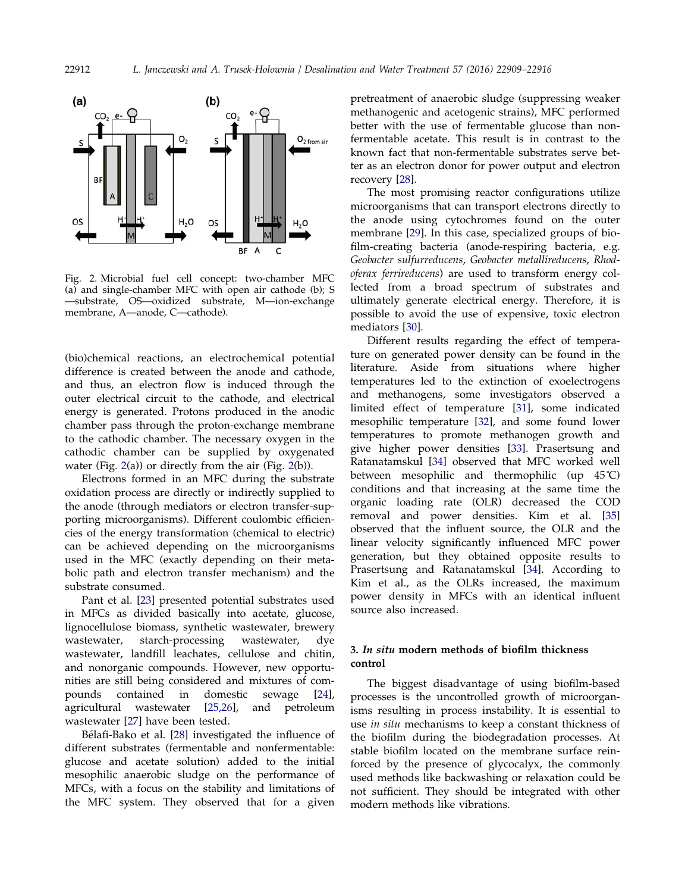<span id="page-3-0"></span>



Fig. 2. Microbial fuel cell concept: two-chamber MFC (a) and single-chamber MFC with open air cathode (b); S —substrate, OS—oxidized substrate, M—ion-exchange membrane, A—anode, C—cathode).

(bio)chemical reactions, an electrochemical potential difference is created between the anode and cathode, and thus, an electron flow is induced through the outer electrical circuit to the cathode, and electrical energy is generated. Protons produced in the anodic chamber pass through the proton-exchange membrane to the cathodic chamber. The necessary oxygen in the cathodic chamber can be supplied by oxygenated water (Fig. 2(a)) or directly from the air (Fig. 2(b)).

Electrons formed in an MFC during the substrate oxidation process are directly or indirectly supplied to the anode (through mediators or electron transfer-supporting microorganisms). Different coulombic efficiencies of the energy transformation (chemical to electric) can be achieved depending on the microorganisms used in the MFC (exactly depending on their metabolic path and electron transfer mechanism) and the substrate consumed.

Pant et al. [[23\]](#page-6-0) presented potential substrates used in MFCs as divided basically into acetate, glucose, lignocellulose biomass, synthetic wastewater, brewery wastewater, starch-processing wastewater, dye wastewater, landfill leachates, cellulose and chitin, and nonorganic compounds. However, new opportunities are still being considered and mixtures of compounds contained in domestic sewage [[24](#page-6-0)], agricultural wastewater [[25,26\]](#page-6-0), and petroleum wastewater [\[27](#page-6-0)] have been tested.

Bélafi-Bako et al. [[28](#page-6-0)] investigated the influence of different substrates (fermentable and nonfermentable: glucose and acetate solution) added to the initial mesophilic anaerobic sludge on the performance of MFCs, with a focus on the stability and limitations of the MFC system. They observed that for a given pretreatment of anaerobic sludge (suppressing weaker methanogenic and acetogenic strains), MFC performed better with the use of fermentable glucose than nonfermentable acetate. This result is in contrast to the known fact that non-fermentable substrates serve better as an electron donor for power output and electron recovery [[28](#page-6-0)].

The most promising reactor configurations utilize microorganisms that can transport electrons directly to the anode using cytochromes found on the outer membrane [[29](#page-6-0)]. In this case, specialized groups of biofilm-creating bacteria (anode-respiring bacteria, e.g. Geobacter sulfurreducens, Geobacter metallireducens, Rhodoferax ferrireducens) are used to transform energy collected from a broad spectrum of substrates and ultimately generate electrical energy. Therefore, it is possible to avoid the use of expensive, toxic electron mediators [\[30](#page-6-0)].

Different results regarding the effect of temperature on generated power density can be found in the literature. Aside from situations where higher temperatures led to the extinction of exoelectrogens and methanogens, some investigators observed a limited effect of temperature [\[31](#page-6-0)], some indicated mesophilic temperature [[32](#page-6-0)], and some found lower temperatures to promote methanogen growth and give higher power densities [[33\]](#page-7-0). Prasertsung and Ratanatamskul [[34](#page-7-0)] observed that MFC worked well between mesophilic and thermophilic (up 45˚C) conditions and that increasing at the same time the organic loading rate (OLR) decreased the COD removal and power densities. Kim et al. [[35\]](#page-7-0) observed that the influent source, the OLR and the linear velocity significantly influenced MFC power generation, but they obtained opposite results to Prasertsung and Ratanatamskul [[34](#page-7-0)]. According to Kim et al., as the OLRs increased, the maximum power density in MFCs with an identical influent source also increased.

# 3. In situ modern methods of biofilm thickness control

The biggest disadvantage of using biofilm-based processes is the uncontrolled growth of microorganisms resulting in process instability. It is essential to use in situ mechanisms to keep a constant thickness of the biofilm during the biodegradation processes. At stable biofilm located on the membrane surface reinforced by the presence of glycocalyx, the commonly used methods like backwashing or relaxation could be not sufficient. They should be integrated with other modern methods like vibrations.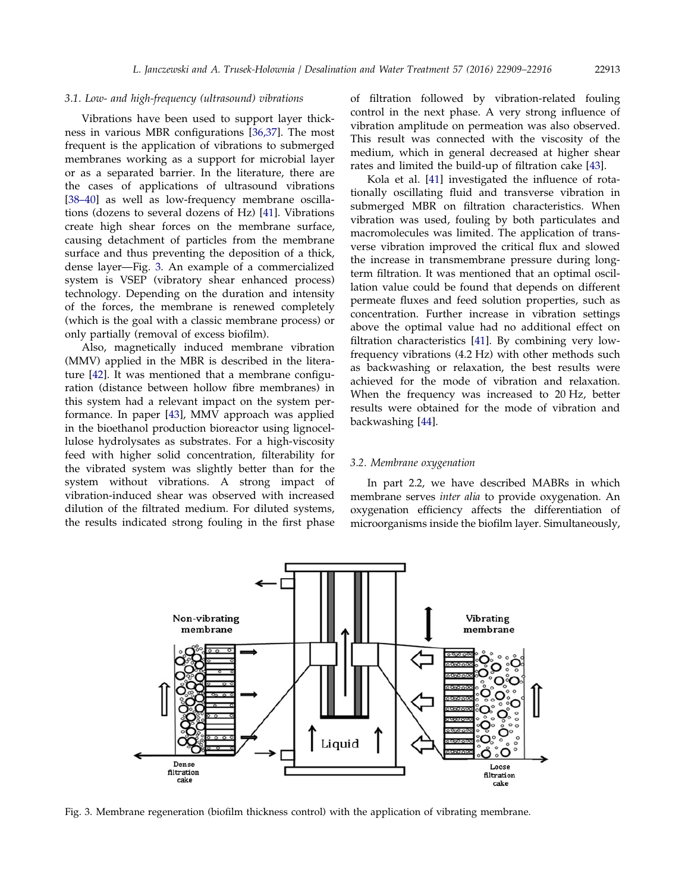#### 3.1. Low- and high-frequency (ultrasound) vibrations

Vibrations have been used to support layer thickness in various MBR configurations [[36,37](#page-7-0)]. The most frequent is the application of vibrations to submerged membranes working as a support for microbial layer or as a separated barrier. In the literature, there are the cases of applications of ultrasound vibrations [[38–40](#page-7-0)] as well as low-frequency membrane oscillations (dozens to several dozens of Hz) [\[41\]](#page-7-0). Vibrations create high shear forces on the membrane surface, causing detachment of particles from the membrane surface and thus preventing the deposition of a thick, dense layer—Fig. 3. An example of a commercialized system is VSEP (vibratory shear enhanced process) technology. Depending on the duration and intensity of the forces, the membrane is renewed completely (which is the goal with a classic membrane process) or only partially (removal of excess biofilm).

Also, magnetically induced membrane vibration (MMV) applied in the MBR is described in the literature [\[42](#page-7-0)]. It was mentioned that a membrane configuration (distance between hollow fibre membranes) in this system had a relevant impact on the system performance. In paper [\[43\]](#page-7-0), MMV approach was applied in the bioethanol production bioreactor using lignocellulose hydrolysates as substrates. For a high-viscosity feed with higher solid concentration, filterability for the vibrated system was slightly better than for the system without vibrations. A strong impact of vibration-induced shear was observed with increased dilution of the filtrated medium. For diluted systems, the results indicated strong fouling in the first phase of filtration followed by vibration-related fouling control in the next phase. A very strong influence of vibration amplitude on permeation was also observed. This result was connected with the viscosity of the medium, which in general decreased at higher shear rates and limited the build-up of filtration cake [[43](#page-7-0)].

Kola et al. [[41](#page-7-0)] investigated the influence of rotationally oscillating fluid and transverse vibration in submerged MBR on filtration characteristics. When vibration was used, fouling by both particulates and macromolecules was limited. The application of transverse vibration improved the critical flux and slowed the increase in transmembrane pressure during longterm filtration. It was mentioned that an optimal oscillation value could be found that depends on different permeate fluxes and feed solution properties, such as concentration. Further increase in vibration settings above the optimal value had no additional effect on filtration characteristics [\[41](#page-7-0)]. By combining very lowfrequency vibrations (4.2 Hz) with other methods such as backwashing or relaxation, the best results were achieved for the mode of vibration and relaxation. When the frequency was increased to 20 Hz, better results were obtained for the mode of vibration and backwashing [[44](#page-7-0)].

## 3.2. Membrane oxygenation

In part 2.2, we have described MABRs in which membrane serves inter alia to provide oxygenation. An oxygenation efficiency affects the differentiation of microorganisms inside the biofilm layer. Simultaneously,



Fig. 3. Membrane regeneration (biofilm thickness control) with the application of vibrating membrane.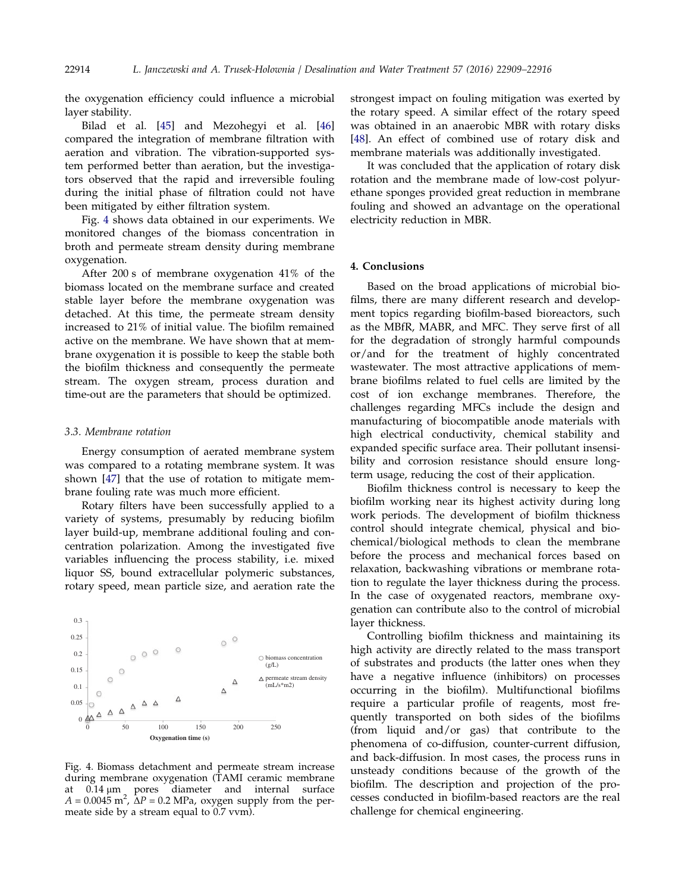the oxygenation efficiency could influence a microbial layer stability.

Bilad et al. [[45](#page-7-0)] and Mezohegyi et al. [[46\]](#page-7-0) compared the integration of membrane filtration with aeration and vibration. The vibration-supported system performed better than aeration, but the investigators observed that the rapid and irreversible fouling during the initial phase of filtration could not have been mitigated by either filtration system.

Fig. 4 shows data obtained in our experiments. We monitored changes of the biomass concentration in broth and permeate stream density during membrane oxygenation.

After 200 s of membrane oxygenation 41% of the biomass located on the membrane surface and created stable layer before the membrane oxygenation was detached. At this time, the permeate stream density increased to 21% of initial value. The biofilm remained active on the membrane. We have shown that at membrane oxygenation it is possible to keep the stable both the biofilm thickness and consequently the permeate stream. The oxygen stream, process duration and time-out are the parameters that should be optimized.

## 3.3. Membrane rotation

Energy consumption of aerated membrane system was compared to a rotating membrane system. It was shown [\[47\]](#page-7-0) that the use of rotation to mitigate membrane fouling rate was much more efficient.

Rotary filters have been successfully applied to a variety of systems, presumably by reducing biofilm layer build-up, membrane additional fouling and concentration polarization. Among the investigated five variables influencing the process stability, i.e. mixed liquor SS, bound extracellular polymeric substances, rotary speed, mean particle size, and aeration rate the



Fig. 4. Biomass detachment and permeate stream increase during membrane oxygenation (TAMI ceramic membrane at 0.14 μm pores diameter and internal surface  $A = 0.0045$  m<sup>2</sup>,  $\Delta P = 0.2$  MPa, oxygen supply from the permeate side by a stream equal to 0.7 vvm).

strongest impact on fouling mitigation was exerted by the rotary speed. A similar effect of the rotary speed was obtained in an anaerobic MBR with rotary disks [\[48\]](#page-7-0). An effect of combined use of rotary disk and membrane materials was additionally investigated.

It was concluded that the application of rotary disk rotation and the membrane made of low-cost polyurethane sponges provided great reduction in membrane fouling and showed an advantage on the operational electricity reduction in MBR.

## 4. Conclusions

Based on the broad applications of microbial biofilms, there are many different research and development topics regarding biofilm-based bioreactors, such as the MBfR, MABR, and MFC. They serve first of all for the degradation of strongly harmful compounds or/and for the treatment of highly concentrated wastewater. The most attractive applications of membrane biofilms related to fuel cells are limited by the cost of ion exchange membranes. Therefore, the challenges regarding MFCs include the design and manufacturing of biocompatible anode materials with high electrical conductivity, chemical stability and expanded specific surface area. Their pollutant insensibility and corrosion resistance should ensure longterm usage, reducing the cost of their application.

Biofilm thickness control is necessary to keep the biofilm working near its highest activity during long work periods. The development of biofilm thickness control should integrate chemical, physical and biochemical/biological methods to clean the membrane before the process and mechanical forces based on relaxation, backwashing vibrations or membrane rotation to regulate the layer thickness during the process. In the case of oxygenated reactors, membrane oxygenation can contribute also to the control of microbial layer thickness.

Controlling biofilm thickness and maintaining its high activity are directly related to the mass transport of substrates and products (the latter ones when they have a negative influence (inhibitors) on processes occurring in the biofilm). Multifunctional biofilms require a particular profile of reagents, most frequently transported on both sides of the biofilms (from liquid and/or gas) that contribute to the phenomena of co-diffusion, counter-current diffusion, and back-diffusion. In most cases, the process runs in unsteady conditions because of the growth of the biofilm. The description and projection of the processes conducted in biofilm-based reactors are the real challenge for chemical engineering.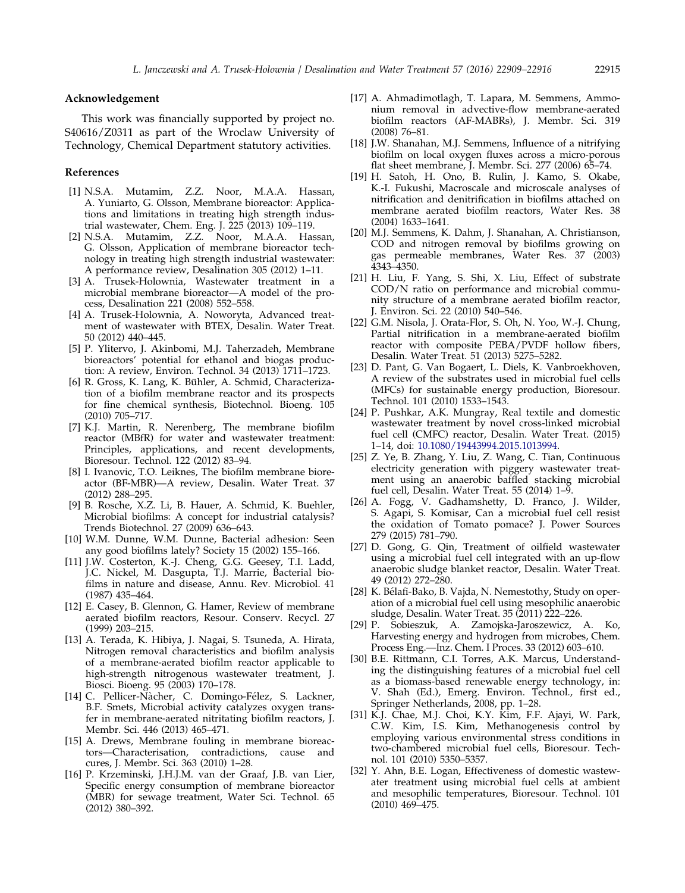## <span id="page-6-0"></span>Acknowledgement

This work was financially supported by project no. S40616/Z0311 as part of the Wroclaw University of Technology, Chemical Department statutory activities.

## References

- [1] N.S.A. Mutamim, Z.Z. Noor, M.A.A. Hassan, A. Yuniarto, G. Olsson, Membrane bioreactor: Applications and limitations in treating high strength industrial wastewater, Chem. Eng. J. 225 (2013) 109–119.
- [2] N.S.A. Mutamim, Z.Z. Noor, M.A.A. Hassan, G. Olsson, Application of membrane bioreactor technology in treating high strength industrial wastewater: A performance review, Desalination 305 (2012) 1–11.
- [3] A. Trusek-Holownia, Wastewater treatment in a microbial membrane bioreactor—A model of the process, Desalination 221 (2008) 552–558.
- [4] A. Trusek-Holownia, A. Noworyta, Advanced treatment of wastewater with BTEX, Desalin. Water Treat. 50 (2012) 440–445.
- [5] P. Ylitervo, J. Akinbomi, M.J. Taherzadeh, Membrane bioreactors' potential for ethanol and biogas production: A review, Environ. Technol. 34 (2013) 1711–1723.
- [6] R. Gross, K. Lang, K. Bühler, A. Schmid, Characterization of a biofilm membrane reactor and its prospects for fine chemical synthesis, Biotechnol. Bioeng. 105 (2010) 705–717.
- [7] K.J. Martin, R. Nerenberg, The membrane biofilm reactor (MBfR) for water and wastewater treatment: Principles, applications, and recent developments, Bioresour. Technol. 122 (2012) 83–94.
- [8] I. Ivanovic, T.O. Leiknes, The biofilm membrane bioreactor (BF-MBR)—A review, Desalin. Water Treat. 37 (2012) 288–295.
- [9] B. Rosche, X.Z. Li, B. Hauer, A. Schmid, K. Buehler, Microbial biofilms: A concept for industrial catalysis? Trends Biotechnol. 27 (2009) 636–643.
- [10] W.M. Dunne, W.M. Dunne, Bacterial adhesion: Seen any good biofilms lately? Society 15 (2002) 155–166.
- [11] J.W. Costerton, K.-J. Cheng, G.G. Geesey, T.I. Ladd, J.C. Nickel, M. Dasgupta, T.J. Marrie, Bacterial biofilms in nature and disease, Annu. Rev. Microbiol. 41 (1987) 435–464.
- [12] E. Casey, B. Glennon, G. Hamer, Review of membrane aerated biofilm reactors, Resour. Conserv. Recycl. 27 (1999) 203–215.
- [13] A. Terada, K. Hibiya, J. Nagai, S. Tsuneda, A. Hirata, Nitrogen removal characteristics and biofilm analysis of a membrane-aerated biofilm reactor applicable to high-strength nitrogenous wastewater treatment, J. Biosci. Bioeng. 95 (2003) 170–178.
- [14] C. Pellicer-Nacher, C. Domingo-Félez, S. Lackner, B.F. Smets, Microbial activity catalyzes oxygen transfer in membrane-aerated nitritating biofilm reactors, J. Membr. Sci. 446 (2013) 465–471.
- [15] A. Drews, Membrane fouling in membrane bioreactors—Characterisation, contradictions, cause and cures, J. Membr. Sci. 363 (2010) 1–28.
- [16] P. Krzeminski, J.H.J.M. van der Graaf, J.B. van Lier, Specific energy consumption of membrane bioreactor (MBR) for sewage treatment, Water Sci. Technol. 65 (2012) 380–392.
- [17] A. Ahmadimotlagh, T. Lapara, M. Semmens, Ammonium removal in advective-flow membrane-aerated biofilm reactors (AF-MABRs), J. Membr. Sci. 319 (2008) 76–81.
- [18] J.W. Shanahan, M.J. Semmens, Influence of a nitrifying biofilm on local oxygen fluxes across a micro-porous flat sheet membrane, J. Membr. Sci. 277 (2006) 65–74.
- [19] H. Satoh, H. Ono, B. Rulin, J. Kamo, S. Okabe, K.-I. Fukushi, Macroscale and microscale analyses of nitrification and denitrification in biofilms attached on membrane aerated biofilm reactors, Water Res. 38 (2004) 1633–1641.
- [20] M.J. Semmens, K. Dahm, J. Shanahan, A. Christianson, COD and nitrogen removal by biofilms growing on gas permeable membranes, Water Res. 37 (2003) 4343–4350.
- [21] H. Liu, F. Yang, S. Shi, X. Liu, Effect of substrate COD/N ratio on performance and microbial community structure of a membrane aerated biofilm reactor, J. Environ. Sci. 22 (2010) 540–546.
- [22] G.M. Nisola, J. Orata-Flor, S. Oh, N. Yoo, W.-J. Chung, Partial nitrification in a membrane-aerated biofilm reactor with composite PEBA/PVDF hollow fibers, Desalin. Water Treat. 51 (2013) 5275–5282.
- [23] D. Pant, G. Van Bogaert, L. Diels, K. Vanbroekhoven, A review of the substrates used in microbial fuel cells (MFCs) for sustainable energy production, Bioresour. Technol. 101 (2010) 1533–1543.
- [24] P. Pushkar, A.K. Mungray, Real textile and domestic wastewater treatment by novel cross-linked microbial fuel cell (CMFC) reactor, Desalin. Water Treat. (2015) 1–14, doi: [10.1080/19443994.2015.1013994.](http://dx.doi.org/10.1080/19443994.2015.1013994)
- [25] Z. Ye, B. Zhang, Y. Liu, Z. Wang, C. Tian, Continuous electricity generation with piggery wastewater treatment using an anaerobic baffled stacking microbial fuel cell, Desalin. Water Treat. 55 (2014) 1–9.
- [26] A. Fogg, V. Gadhamshetty, D. Franco, J. Wilder, S. Agapi, S. Komisar, Can a microbial fuel cell resist the oxidation of Tomato pomace? J. Power Sources 279 (2015) 781–790.
- [27] D. Gong, G. Qin, Treatment of oilfield wastewater using a microbial fuel cell integrated with an up-flow anaerobic sludge blanket reactor, Desalin. Water Treat. 49 (2012) 272–280.
- [28] K. Bélafi-Bako, B. Vajda, N. Nemestothy, Study on operation of a microbial fuel cell using mesophilic anaerobic sludge, Desalin. Water Treat. 35 (2011) 222–226.
- [29] P. Sobieszuk, A. Zamojska-Jaroszewicz, A. Ko, Harvesting energy and hydrogen from microbes, Chem. Process Eng.—Inz. Chem. I Proces. 33 (2012) 603–610.
- [30] B.E. Rittmann, C.I. Torres, A.K. Marcus, Understanding the distinguishing features of a microbial fuel cell as a biomass-based renewable energy technology, in: V. Shah (Ed.), Emerg. Environ. Technol., first ed., Springer Netherlands, 2008, pp. 1–28.
- [31] K.J. Chae, M.J. Choi, K.Y. Kim, F.F. Ajayi, W. Park, C.W. Kim, I.S. Kim, Methanogenesis control by employing various environmental stress conditions in two-chambered microbial fuel cells, Bioresour. Technol. 101 (2010) 5350–5357.
- [32] Y. Ahn, B.E. Logan, Effectiveness of domestic wastewater treatment using microbial fuel cells at ambient and mesophilic temperatures, Bioresour. Technol. 101 (2010) 469–475.